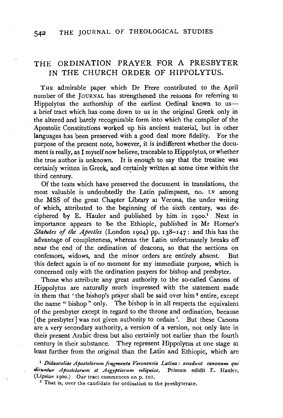## THE ORDINATION PRAYER FOR A PRESBYTER IN THE CHURCH ORDER OF HIPPOLYTUS.

THE admirable paper which Dr Frere contributed to the April number of the JOURNAL has strengthened the reasons for referring to Hippolytus the authorship of the earliest Ordinal known to usa brief tract which has come down to us in the original Greek only in the altered and barely recognizable form into which the compiler of the Apostolic Constitutions worked up his ancient material, but in other languages has been preserved with a good deal more fidelity. For the purpose of the present note, however, it is indifferent whether the document is really, as I myself now believe, traceable to Hippolytus, or whether the true author is unknown. It is enough to say that the treatise was certainly written in Greek, and certainly written at some time within the third century.

Of the texts which have preserved the document in translations, the most valuable is undoubtedly the Latin palimpsest, no. LV among the MSS of the great Chapter Library at Verona, the under writing of which, attributed to the beginning of the sixth century, was deciphered by E. Hauler and published by him in  $1900$ .<sup>1</sup> Next in importance appears to be the Ethiopic, published in Mr Homer's *Statutes of the Apostles* (London 1904) pp. 138-147: and this has the advantage of completeness, whereas the Latin unfortunately breaks off near the end of the ordination of deacons, so that the sections on confessors, widows, and the minor orders are entirely absent. But this defect again is of no moment for my immediate purpose, which is concerned only with the ordination prayers for bishop and presbyter.

Those who attribute any great authority to the so-called Canons of Hippolytus are naturally much impressed with the statement made in them that 'the bishop's prayer shall be said over him<sup>2</sup> entire, except the name " bishop" only. The bishop is in all respects the equivalent of the presbyter except in regard to the throne and ordination, because [the presbyter] was not given authority to ordain'. But these Canons are a very secondary authority, a version of a version, not only late in their present Arabic dress but also certainly not earlier than the fourth century in their substance. They represent Hippolytus at one stage at least further from the original than the Latin and Ethiopic, which are

<sup>1</sup>*Didascaliae Apostolorum fragmenta Veronensia Latina : accedunt canonum qui*  dicuntur Apostolorum et Aegyptiorum reliquiae. Primum edidit E. Hauler. (Lipsiae 1900.) Our tract commences on p. 101.

<sup>2</sup> That is, over the candidate for ordination to the presbyterate.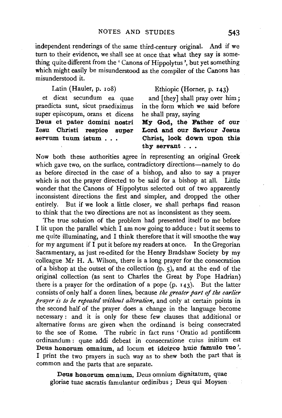independent renderings of the same third-century original. And if we turn to their evidence, we shall see at once that what they say is something quite different from the ' Canons of Hippolytus ', but yet something which might easily be misunderstood as the compiler of the Canons has misunderstood it.

Latin (Hauler, p. 108)

et dicat secundum ea quae praedicta sunt, sicut praediximus super episcopum, orans et dicens Deus et pater domini nostri Iesu Christi respice super servum tuum istum ...

Ethiopic (Horner, p. 143)

and [they] shall pray over him ; in the form which we said before he shall pray, saying

My God, the Father of our Lord and our Saviour Jesus Christ, look down upon this thy servant . . .

Now both these authorities agree in representing an original Greek which gave two, on the surface, contradictory directions-namely to do as before directed in the case· of a bishop, and also to say a prayer which is not the prayer directed to be said for a bishop at all. Little wonder that the Canons of Hippolytus selected out of two apparently inconsistent directions the first and simpler, and dropped the other entirely. But if we look a little closer, we shall perhaps find reason to think that the two directions are not as inconsistent as they seem.

The true solution of the problem had presented itself to me before I lit upon the parallel which I am now going to adduce : but it seems to me quite illuminating, and I think therefore that it will smoothe the way for my argument if I put it before my readers at once. In the Gregorian Sacramentary, as just re-edited for the Henry Bradshaw Society by my colleague Mr H. A. Wilson, there is a long prayer for the consecration of a bishop at the outset of the collection  $(p, \zeta)$ , and at the end of the original collection (as sent to Charles the Great by Pope Hadrian) there is a prayer for the ordination of a pope  $(p. 143)$ . But the latter consists of only half a dozen lines, because *the greater part of the earlier prayer is to be repeated without alteration,* and only at certain points in the second half of the prayer does a change in the language become necessary : and it is only for these few clauses that additional or alternative forms are given when the ordinand is being consecrated to the see of Rome. The rubric in fact runs ' Oratio ad pontificem ordinandum : quae addi debeat in consecratione cuius initium est Deus honorum omnium, ad locum et idcirco huic famulo tuo '. I print the two prayers in such way as to shew both the part that is common and the parts that are separate.

Deus honorum omnium, Deus omnium dignitatum, quae gloriae tuae sacratis famulantur ordinibus ; Deus qui Moysen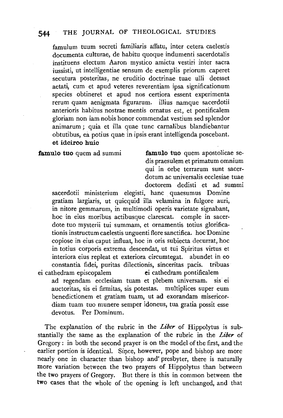famulum tuum secreti familiaris affatu, inter cetera caelestis documenta culturae, de habitu quoque indumenti sacerdotalis instituens electum Aaron mystico amictu vestiri inter sacra jussisti, ut intelligentiae sensum de exemplis priorum caperet secutura posteritas, ne eruditio doctrinae tuae ulli deesset aetati, cum et apud veteres reverentiam ipsa significationum species obtineret et apud nos certiora essent experimenta rerum quam aenigmata figurarum. illius namque sacerdotii anterioris habitus nostrae mentis ornatus est, et pontificalem gloriam non iam nobis honor commendat vestium sed splendor animarum ; quia et illa quae tune carnalibus blandiebantur obtutibus, ea potius quae in ipsis erant intelligenda poscebant. et idcirco huic

famulo tuo quem ad summi famulo tuo quem apostolicae sedis praesulem et primatum omnium qui in orbe terrarum sunt sacerdotum ac universalis ecclesiae tuae doctorem dedisti et ad summi

sacerdotii ministerium elegisti, hanc quaesumus Domine gratiam largiaris, ut quicquid illa velamina in fulgore auri, in nitore gemmarum, in multimodi operis varietate signabant, hoe in eius moribus actibusque clarescat. comple in sacerdote tuo mysterii tui summam, et ornamentis totius glorificationis instructum caelestis unguenti flore sanctifica. hoe Domine copiose in eius caput influat, hoe in oris subiecta decurrat, hoe in totius corporis extrema descendat, ut tui Spiritus virtus et interiora eius repleat et exteriora circumtegat. abundet in eo constantia fidei, puritas dilectionis, sinceritas pacis. tribuas ei cathedram episcopalem ei cathedram pontificalem ad regendam ecclesiam tuam et plebem universam. sis ei auctoritas, sis ei firmitas, sis potestas. multiplices super eum benedictionem et gratiam tuam, ut ad exorandam misericordiam tuam tuo munere semper idoneus, tua gratia possit esse

devotus. Per Dominum.

The explanation of the rubric in the *Liber* of Hippolytus is substantially the same as the explanation of the rubric in the *Liber* of Gregory: in both the second prayer is on the model of the first, and the earlier portion is identical. Since, however, pope and bishop are more nearly one in character than bishop and presbyter, there is naturally more variation between the two prayers of Hippolytus than between the two prayers of Gregory. But there is this in common between the two cases that the whole of the opening is left unchanged, and that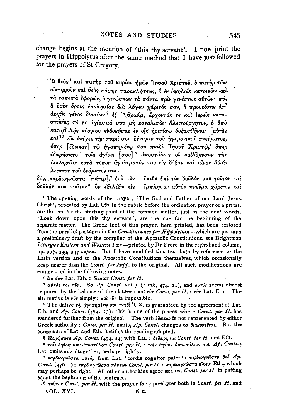change begins at the mention of 'this thy servant'. I now print the prayers in Hippolytus after the same method that I have just followed for the prayers of St Gregory.

Ο θεός<sup>1</sup> και πατήρ του κυρίου ήμων 'Ιησου Χριστου, ο πατήρ των οικτιρμων και θεός πάσης παρακλήσεως, ό έν ύψηλοίς κατοικών και τα ταπεινα έφορων, ο γινώσκων τα πάντα πριν γενέσεως αυτών· σύ, δ δούς δρους έκκλησίας δια λόγου χάριτός σου, δ προορίσας άπ' άρχης γένος δικαίων<sup>2</sup> έξ Αβραάμ, άρχοντάς τε και ιερείς καταστήσας τό τε αγίασμά σου μη καταλιπών άλειτούργητον, δ άπο καταβολής κόσμου εύδοκήσας έν οις ήρετίσω δοξασθήναι· [αύτος και <sup>3</sup> νύν επίχεε την παρά σου δύναμιν του ήγεμονικού πνεύματος, όπερ [έδωκας] τω ήγαπημένω σου παιδι Ίησου Χριστω,<sup>4</sup> όπερ έδωρήσατο<sup>5</sup> τοις άγίοις [σου]<sup>6</sup> άποστόλοις οι καθίδρυσαν την έκκλησίαν κατά τόπον άγιάσματός σου είς δόξαν και αίνον άδιάλειπτον του ονόματός σου.

δός, καρδιογνώστα [πάτερ], επι τον επιδε επι τον δούλόν σου τούτον και δοῦλόν σου τοῦτον<sup>8</sup> ὃν ἐξελέξω εἰς έμπλησον αύτον πνεύμα χάριτος και

<sup>1</sup> The opening words of the prayer, 'The God and Father of our Lord Jesus Christ', repeated by Lat. Eth. in the rubric before the ordination prayer of a priest, are the cue for the starting-point of the common matter, just as the next words, 'Look down upon this thy servant', are the cue for the beginning of the separate matter. The Greek text of this prayer, here printed, has been restored from the parallel passages in the Constitutiones per Hippolytum-which are perhaps a preliminary draft by the compiler of the Apostolic Constitutions, see Brightman Liturgies Eastern and Western I  $x^x$ -printed by Dr Frere in the right-hand column, pp. 337, 339, 347 supra. But I have modified this text both by reference to the Latin version and to the Apostolic Constitutions themselves, which occasionally keep nearer than the Const. per Hipp. to the original. All such modifications are enumerated in the following notes.

<sup>2</sup> δικαίων Lat. Eth.: δίκαιον Const. per H.

<sup>3</sup> avros kal viv. So Ap. Const. viii  $5$  (Funk, 474. 21), and avros seems almost required by the balance of the clauses: wal viv Const. per H.: viv Lat. Eth. The alternative is  $\nu \hat{\nu} \nu$  simply:  $\kappa a \hat{\nu} \hat{\nu} \nu$  is impossible.

<sup>4</sup> The dative  $\tau \hat{\varphi}$   $\dot{\eta} \gamma a \pi \eta \mu \epsilon \nu \varphi$  oov  $\pi a \iota \delta i$ . I. X. is guaranteed by the agreement of Lat. Eth. and Ap. Const.  $(474. 23)$ : this is one of the places where Const. per H. has wandered further from the original. The verb έδωκαs is not represented by either Greek authority: Const. per H. omits, Ap. Const. changes to diakoreiral. But the consensus of Lat. and Eth. justifies the reading adopted.

<sup>5</sup> έδωρήσατο Ap. Const. (474. 24) with Lat. : δεδώρησαι Const. per H. and Eth.

<sup>6</sup> τοις άγίοις σου αποστόλοις Const. per H. : τοις άγίοις αποστόλοις σου Ap. Const. : Lat. omits oov altogether, perhaps rightly.

<sup>7</sup> καρδιογνώστα πατέρ from Lat. 'cordis cognitor pater': καρδιογνώστα θεέ Αρ. Const. (476. 1): καρδιογνώστα πάντων Const. per Η. : καρδιογνώστα alone Eth., which may perhaps be right. All other authorities agree against Const. per H. in putting δόs at the beginning of the sentence.

 $8$  robrov Const. per H. with the prayer for a presbyter both in Const. per H. and VOL. XVI.  $N<sub>n</sub>$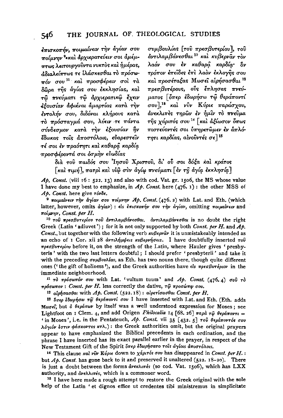## 546 THE JOURNAL OF THEOLOGICAL STUDIES

έπισκοπήν, ποιμαίνειν την άγίαν σου ποίμνην <sup>9</sup> και άρχιερατεύειν σοι αμέμπτως λειτουργούντα νυκτός και ήμέρας, δδιαλείπτως τε ἱλάσκεσθαι τὸ πρόσωπόν σου <sup>11</sup> καὶ προσφέρειν σοὶ τὰ δώρα της άγίας σου εκκλησίας, και τῷ πνεύματι τῷ ἀρχιερατικῷ ἔχειν ξέουσίαν άφιέναι άμαρτίας κατά την έντολήν σου, διδόναι κλήρους κατά το πρόσταγμά σου, λύειν τε πάντα σύνδεσμον κατά την εξουσίαν ήν έδωκας τοίς άποστόλοις, εύαρεστείν τέ σοι ἐν πραότητι καὶ καθαρậ καρδία προσφέροντά σοι όσμην εύωδίας

συμβουλίας [του πρεσβυτερίου], του αντιλαμβάνεσθαι<sup>10</sup> και κυβερναν τον λαόν σου έν καθαρά καρδία· δν τρόπον έπειδες έπι λαον έκλογης σου και προσέταξας Μωσεί αιρήσασθαι <sup>12</sup> πρεσβυτέρους, οΰς έπλησας πνεύματος [όπερ εδωρήσω τῶ θεράποντί σου],<sup>13</sup> και νύν Κύριε παράσχου, άνεκλιπές τηρών έν ήμων το πνεύμα της χάριτός σου<sup>14</sup> [και αξίωσον όπως πιστεύοντές σοι ύπηρετωμεν έν απλότητι καρδίας, αἰνοῢντές σε] <sup>15</sup>

διά του παιδός σου Ίησου Χριστου, δι' ού σοι δόξα και κράτος [καὶ τιμή], πατρὶ καὶ υἱῷ σὺν ἀγίφ πνεύματι [εν τῆ ἀγίạ εκκλησία]

Ap. Const. (viii  $16: 522. 13$ ) and also with cod. Vat. gr. 1506, the MS whose value I have done my best to emphasize, in  $A\phi$ . Const. here (476. 1): the other MSS of Ap. Const. here give rovoe.

<sup>9</sup> ποιμαίνειν την άγίαν σου ποίμνην Ap. Const. (476. 2) with Lat. and Eth. (which latter, however, omits άγίαν) : είς επισκοπήν σου την άγίαν, omitting ποιμαίνειν and ποίμνην, Const. per H.

<sup>10</sup> του πρεσβυτερίου του αντιλαμβάνεσθαι. αντιλαμβάνεσθαι is no doubt the right Greek (Latin 'adiuvet'); for it is not only supported by both Const. per H. and Ap. Const., but together with the following verb *kvßepvav* it is unmistakeably intended as an echo of 1 Cor. xii 28  $\frac{dy}{dt}$   $\frac{dy}{dt}$   $\frac{dy}{dt}$   $\frac{dy}{dt}$   $\frac{dy}{dt}$   $\frac{dy}{dt}$  are doubtfully inserted  $\tau$ ov πρεσβυτερίου before it, on the strength of the Latin, where Hauler gives 'presbyteris' with the two last letters doubtful; I should prefer 'presbyterii' and take it with the preceding  $\sigma v \mu \beta o v \lambda \alpha s$ , as Eth. has two nouns there, though quite different ones ('the gift of holiness'), and the Greek authorities have  $\epsilon$ is  $\pi \rho \epsilon \sigma \beta \nu \tau \epsilon \rho \nu \nu$  in the immediate neighbourhood.

<sup>11</sup>  $\tau$   $\delta$   $\pi \rho$ *bownbv*  $\sigma$ ov with Lat. 'vultum tuum' and Ap. Const. (476.4)  $\sigma$ ov  $\tau$  $\delta$ πρόσωπον: Const. per H. less correctly the dative, τω προσώπω σου.

<sup>12</sup> αίρησασθαι with Ap. Const. (522.18): αίρετίσασθαι Const. per H.

13 δπερ έδωρήσω τω θεράποντί σου I have inserted with Lat. and Eth. (Eth. adds Mωσεί, but δ θεράπων by itself was a well understood expression for Moses: see Lightfoot on I Clem. 4, and add Origen Philocalia 14 [68. 26]  $\pi a \rho \dot{\alpha} + \bar{\omega} \theta \epsilon \rho \dot{\alpha} \pi \partial \nu \tau \dot{\alpha} =$ 'in Moses', i.e. in the Pentateuch, Ap. Const. vii 35 [432. 5]  $\tau$ ou θεράποντός σου  $\lambda$ *byiby toriv*  $\phi$ *dokovros*  $\kappa \tau \lambda$ *.*): the Greek authorities omit, but the original prayers appear to have emphasized the Biblical precedents in each ordination, and the phrase I have inserted has its exact parallel earlier in the prayer, in respect of the New Testament Gift of the Spirit ύπερ έδωρήσατο τοις άγίοις άποστόλοις.

<sup>14</sup> This clause *και νύν* Κύριε down to χάριτός σου has disappeared in Const. per H.: but  $Ap$ . Const. has gone back to it and preserved it unaltered (522. 18-20). There is just a doubt between the forms  $\frac{dy}{dx}$ her, (so cod. Vat. 1506), which has LXX authority, and ave $\lambda \lambda$  in estimately is a commoner word.

<sup>15</sup> I have here made a rough attempt to restore the Greek original with the sole help of the Latin 'et dignos effice ut credentes tibi ministremus in simplicitate